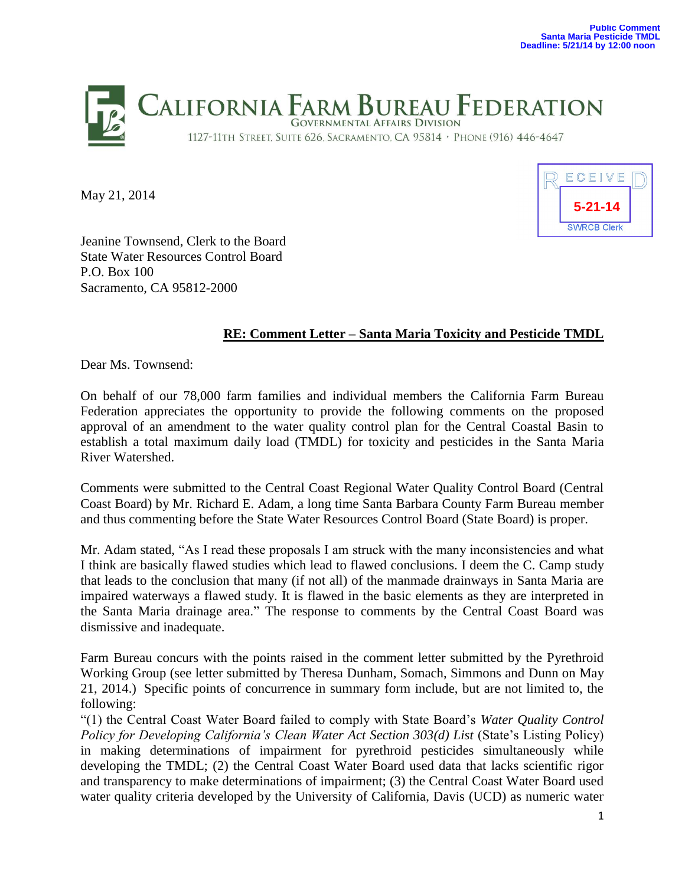

May 21, 2014



Jeanine Townsend, Clerk to the Board State Water Resources Control Board P.O. Box 100 Sacramento, CA 95812-2000

## **RE: Comment Letter – Santa Maria Toxicity and Pesticide TMDL**

Dear Ms. Townsend:

On behalf of our 78,000 farm families and individual members the California Farm Bureau Federation appreciates the opportunity to provide the following comments on the proposed approval of an amendment to the water quality control plan for the Central Coastal Basin to establish a total maximum daily load (TMDL) for toxicity and pesticides in the Santa Maria River Watershed.

Comments were submitted to the Central Coast Regional Water Quality Control Board (Central Coast Board) by Mr. Richard E. Adam, a long time Santa Barbara County Farm Bureau member and thus commenting before the State Water Resources Control Board (State Board) is proper.

Mr. Adam stated, "As I read these proposals I am struck with the many inconsistencies and what I think are basically flawed studies which lead to flawed conclusions. I deem the C. Camp study that leads to the conclusion that many (if not all) of the manmade drainways in Santa Maria are impaired waterways a flawed study. It is flawed in the basic elements as they are interpreted in the Santa Maria drainage area." The response to comments by the Central Coast Board was dismissive and inadequate.

Farm Bureau concurs with the points raised in the comment letter submitted by the Pyrethroid Working Group (see letter submitted by Theresa Dunham, Somach, Simmons and Dunn on May 21, 2014.) Specific points of concurrence in summary form include, but are not limited to, the following:

"(1) the Central Coast Water Board failed to comply with State Board's *Water Quality Control Policy for Developing California's Clean Water Act Section 303(d) List* (State's Listing Policy) in making determinations of impairment for pyrethroid pesticides simultaneously while developing the TMDL; (2) the Central Coast Water Board used data that lacks scientific rigor and transparency to make determinations of impairment; (3) the Central Coast Water Board used water quality criteria developed by the University of California, Davis (UCD) as numeric water